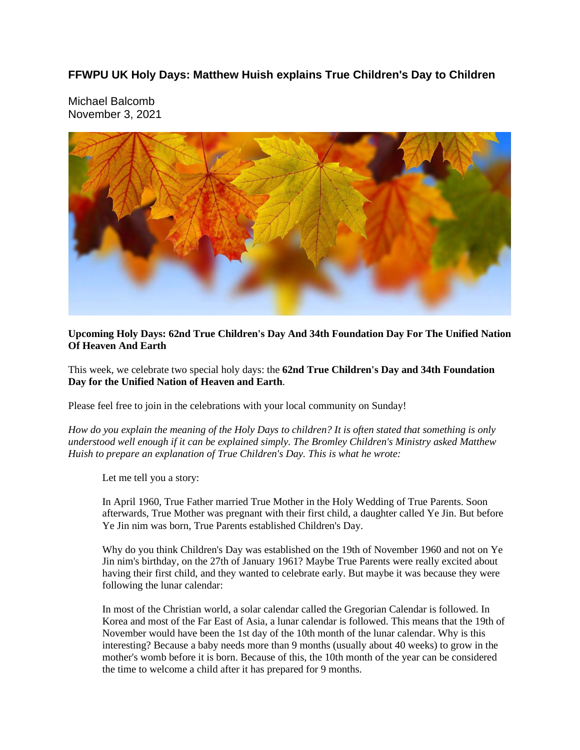## **FFWPU UK Holy Days: Matthew Huish explains True Children's Day to Children**

Michael Balcomb November 3, 2021



## **Upcoming Holy Days: 62nd True Children's Day And 34th Foundation Day For The Unified Nation Of Heaven And Earth**

This week, we celebrate two special holy days: the **62nd True Children's Day and 34th Foundation Day for the Unified Nation of Heaven and Earth**.

Please feel free to join in the celebrations with your local community on Sunday!

How do you explain the meaning of the Holy Days to children? It is often stated that something is only *understood well enough if it can be explained simply. The Bromley Children's Ministry asked Matthew Huish to prepare an explanation of True Children's Day. This is what he wrote:*

Let me tell you a story:

In April 1960, True Father married True Mother in the Holy Wedding of True Parents. Soon afterwards, True Mother was pregnant with their first child, a daughter called Ye Jin. But before Ye Jin nim was born, True Parents established Children's Day.

Why do you think Children's Day was established on the 19th of November 1960 and not on Ye Jin nim's birthday, on the 27th of January 1961? Maybe True Parents were really excited about having their first child, and they wanted to celebrate early. But maybe it was because they were following the lunar calendar:

In most of the Christian world, a solar calendar called the Gregorian Calendar is followed. In Korea and most of the Far East of Asia, a lunar calendar is followed. This means that the 19th of November would have been the 1st day of the 10th month of the lunar calendar. Why is this interesting? Because a baby needs more than 9 months (usually about 40 weeks) to grow in the mother's womb before it is born. Because of this, the 10th month of the year can be considered the time to welcome a child after it has prepared for 9 months.